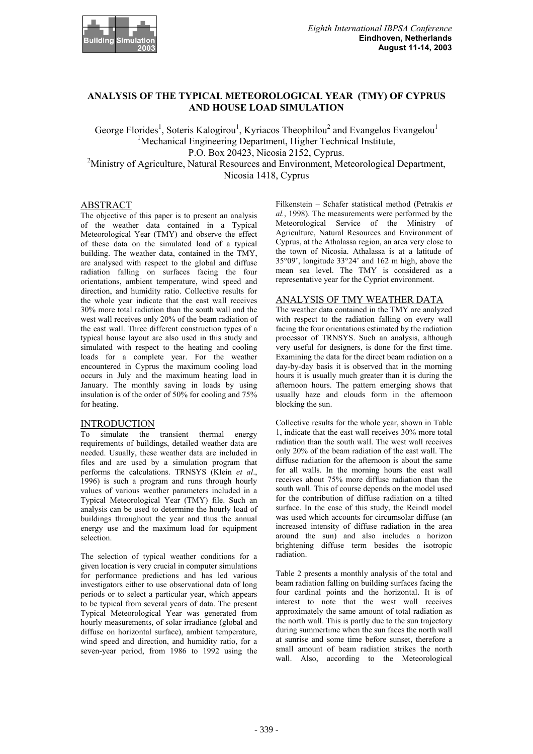

# **ANALYSIS OF THE TYPICAL METEOROLOGICAL YEAR (TMY) OF CYPRUS AND HOUSE LOAD SIMULATION**

George Florides<sup>1</sup>, Soteris Kalogirou<sup>1</sup>, Kyriacos Theophilou<sup>2</sup> and Evangelos Evangelou<sup>1</sup> <sup>1</sup>Mechanical Engineering Department, Higher Technical Institute, P.O. Box 20423, Nicosia 2152, Cyprus. <sup>2</sup>Ministry of Agriculture, Natural Resources and Environment, Meteorological Department, Nicosia 1418, Cyprus

### ABSTRACT

The objective of this paper is to present an analysis of the weather data contained in a Typical Meteorological Year (TMY) and observe the effect of these data on the simulated load of a typical building. The weather data, contained in the TMY, are analysed with respect to the global and diffuse radiation falling on surfaces facing the four orientations, ambient temperature, wind speed and direction, and humidity ratio. Collective results for the whole year indicate that the east wall receives 30% more total radiation than the south wall and the west wall receives only 20% of the beam radiation of the east wall. Three different construction types of a typical house layout are also used in this study and simulated with respect to the heating and cooling loads for a complete year. For the weather encountered in Cyprus the maximum cooling load occurs in July and the maximum heating load in January. The monthly saving in loads by using insulation is of the order of 50% for cooling and 75% for heating.

### INTRODUCTION

To simulate the transient thermal energy requirements of buildings, detailed weather data are needed. Usually, these weather data are included in files and are used by a simulation program that performs the calculations. TRNSYS (Klein *et al*., 1996) is such a program and runs through hourly values of various weather parameters included in a Typical Meteorological Year (TMY) file. Such an analysis can be used to determine the hourly load of buildings throughout the year and thus the annual energy use and the maximum load for equipment selection.

The selection of typical weather conditions for a given location is very crucial in computer simulations for performance predictions and has led various investigators either to use observational data of long periods or to select a particular year, which appears to be typical from several years of data. The present Typical Meteorological Year was generated from hourly measurements, of solar irradiance (global and diffuse on horizontal surface), ambient temperature, wind speed and direction, and humidity ratio, for a seven-year period, from 1986 to 1992 using the

Filkenstein – Schafer statistical method (Petrakis *et al.*, 1998). The measurements were performed by the Meteorological Service of the Ministry of Agriculture, Natural Resources and Environment of Cyprus, at the Athalassa region, an area very close to the town of Nicosia. Athalassa is at a latitude of 35°09', longitude 33°24' and 162 m high, above the mean sea level. The TMY is considered as a representative year for the Cypriot environment.

# ANALYSIS OF TMY WEATHER DATA

The weather data contained in the TMY are analyzed with respect to the radiation falling on every wall facing the four orientations estimated by the radiation processor of TRNSYS. Such an analysis, although very useful for designers, is done for the first time. Examining the data for the direct beam radiation on a day-by-day basis it is observed that in the morning hours it is usually much greater than it is during the afternoon hours. The pattern emerging shows that usually haze and clouds form in the afternoon blocking the sun.

Collective results for the whole year, shown in Table 1, indicate that the east wall receives 30% more total radiation than the south wall. The west wall receives only 20% of the beam radiation of the east wall. The diffuse radiation for the afternoon is about the same for all walls. In the morning hours the east wall receives about 75% more diffuse radiation than the south wall. This of course depends on the model used for the contribution of diffuse radiation on a tilted surface. In the case of this study, the Reindl model was used which accounts for circumsolar diffuse (an increased intensity of diffuse radiation in the area around the sun) and also includes a horizon brightening diffuse term besides the isotropic radiation.

Table 2 presents a monthly analysis of the total and beam radiation falling on building surfaces facing the four cardinal points and the horizontal. It is of interest to note that the west wall receives approximately the same amount of total radiation as the north wall. This is partly due to the sun trajectory during summertime when the sun faces the north wall at sunrise and some time before sunset, therefore a small amount of beam radiation strikes the north wall. Also, according to the Meteorological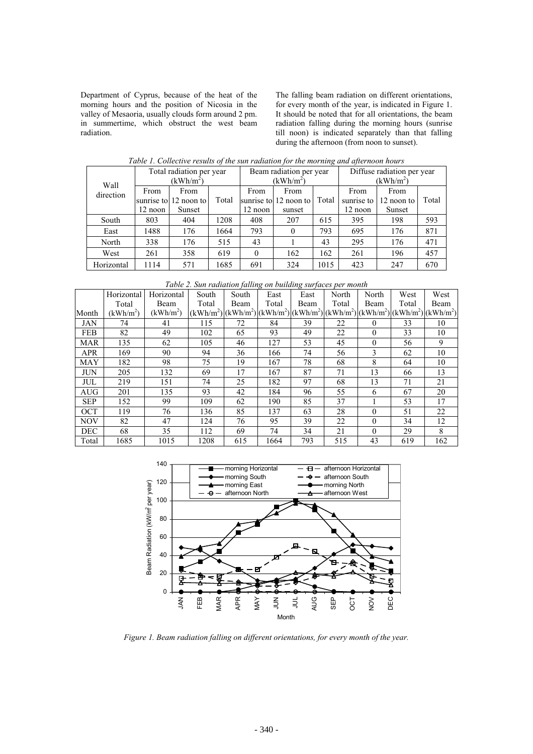Department of Cyprus, because of the heat of the morning hours and the position of Nicosia in the valley of Mesaoria, usually clouds form around 2 pm. in summertime, which obstruct the west beam radiation.

The falling beam radiation on different orientations, for every month of the year, is indicated in Figure 1. It should be noted that for all orientations, the beam radiation falling during the morning hours (sunrise till noon) is indicated separately than that falling during the afternoon (from noon to sunset).

| Wall       | Total radiation per year<br>(kWh/m <sup>2</sup> ) |                                         |       | Beam radiation per year<br>(kWh/m <sup>2</sup> ) |                                         |       | Diffuse radiation per year<br>(kWh/m <sup>2</sup> ) |                              |       |
|------------|---------------------------------------------------|-----------------------------------------|-------|--------------------------------------------------|-----------------------------------------|-------|-----------------------------------------------------|------------------------------|-------|
| direction  | From<br>12 noon                                   | From<br>sunrise to 12 noon to<br>Sunset | Total | From<br>12 noon                                  | From<br>sunrise to 12 noon to<br>sunset | Total | From<br>sunrise to<br>12 noon                       | From<br>12 noon to<br>Sunset | Total |
| South      | 803                                               | 404                                     | 1208  | 408                                              | 207                                     | 615   | 395                                                 | 198                          | 593   |
| East       | 1488                                              | 176                                     | 1664  | 793                                              | $\theta$                                | 793   | 695                                                 | 176                          | 871   |
| North      | 338                                               | 176                                     | 515   | 43                                               |                                         | 43    | 295                                                 | 176                          | 471   |
| West       | 261                                               | 358                                     | 619   | 0                                                | 162                                     | 162   | 261                                                 | 196                          | 457   |
| Horizontal | 1114                                              | 571                                     | 1685  | 691                                              | 324                                     | 1015  | 423                                                 | 247                          | 670   |

*Table 1. Collective results of the sun radiation for the morning and afternoon hours* 

| Table 2. Sun radiation falling on building surfaces per month |  |  |  |
|---------------------------------------------------------------|--|--|--|
|                                                               |  |  |  |

|            |             |             |                                                                                     | $\sim$ |       |      |       |          |       |      |
|------------|-------------|-------------|-------------------------------------------------------------------------------------|--------|-------|------|-------|----------|-------|------|
|            | Horizontal  | Horizontal  | South                                                                               | South  | East  | East | North | North    | West  | West |
|            | Total       | Beam        | Total                                                                               | Beam   | Total | Beam | Total | Beam     | Total | Beam |
| Month      | $(kWh/m^2)$ | $(kWh/m^2)$ | $(kWh/m^2)(kWh/m^2)(kWh/m^2)(kWh/m^2)(kWh/m^2)(kWh/m^2)(kWh/m^2)(kWh/m^2)(kWh/m^2)$ |        |       |      |       |          |       |      |
| <b>JAN</b> | 74          | 41          | 115                                                                                 | 72     | 84    | 39   | 22    | $\theta$ | 33    | 10   |
| <b>FEB</b> | 82          | 49          | 102                                                                                 | 65     | 93    | 49   | 22    | $\theta$ | 33    | 10   |
| <b>MAR</b> | 135         | 62          | 105                                                                                 | 46     | 127   | 53   | 45    | $\theta$ | 56    | 9    |
| APR        | 169         | 90          | 94                                                                                  | 36     | 166   | 74   | 56    | 3        | 62    | 10   |
| <b>MAY</b> | 182         | 98          | 75                                                                                  | 19     | 167   | 78   | 68    | 8        | 64    | 10   |
| <b>JUN</b> | 205         | 132         | 69                                                                                  | 17     | 167   | 87   | 71    | 13       | 66    | 13   |
| <b>JUL</b> | 219         | 151         | 74                                                                                  | 25     | 182   | 97   | 68    | 13       | 71    | 21   |
| <b>AUG</b> | 201         | 135         | 93                                                                                  | 42     | 184   | 96   | 55    | 6        | 67    | 20   |
| <b>SEP</b> | 152         | 99          | 109                                                                                 | 62     | 190   | 85   | 37    |          | 53    | 17   |
| <b>OCT</b> | 119         | 76          | 136                                                                                 | 85     | 137   | 63   | 28    | $\theta$ | 51    | 22   |
| <b>NOV</b> | 82          | 47          | 124                                                                                 | 76     | 95    | 39   | 22    | $\theta$ | 34    | 12   |
| <b>DEC</b> | 68          | 35          | 112                                                                                 | 69     | 74    | 34   | 21    | $\Omega$ | 29    | 8    |
| Total      | 1685        | 1015        | 1208                                                                                | 615    | 1664  | 793  | 515   | 43       | 619   | 162  |



*Figure 1. Beam radiation falling on different orientations, for every month of the year.*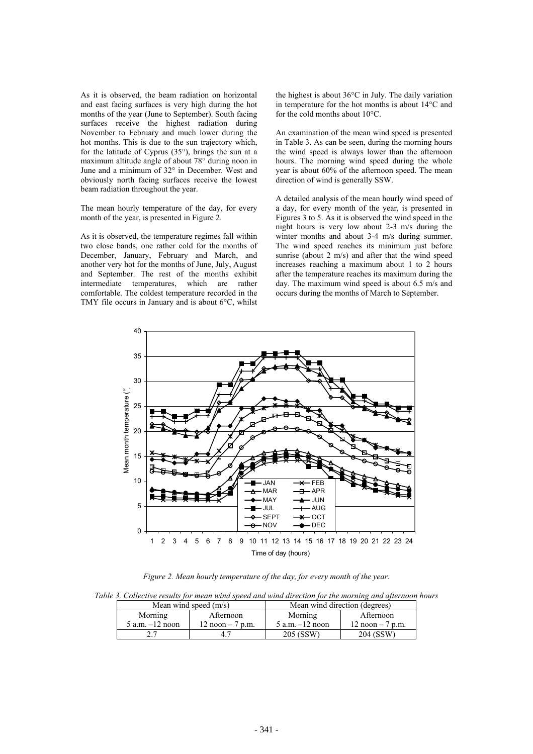As it is observed, the beam radiation on horizontal and east facing surfaces is very high during the hot months of the year (June to September). South facing surfaces receive the highest radiation during November to February and much lower during the hot months. This is due to the sun trajectory which, for the latitude of Cyprus (35°), brings the sun at a maximum altitude angle of about 78° during noon in June and a minimum of 32° in December. West and obviously north facing surfaces receive the lowest beam radiation throughout the year.

The mean hourly temperature of the day, for every month of the year, is presented in Figure 2.

As it is observed, the temperature regimes fall within two close bands, one rather cold for the months of December, January, February and March, and another very hot for the months of June, July, August and September. The rest of the months exhibit intermediate temperatures, which are rather comfortable. The coldest temperature recorded in the TMY file occurs in January and is about 6°C, whilst

the highest is about 36°C in July. The daily variation in temperature for the hot months is about 14°C and for the cold months about 10°C.

An examination of the mean wind speed is presented in Table 3. As can be seen, during the morning hours the wind speed is always lower than the afternoon hours. The morning wind speed during the whole year is about 60% of the afternoon speed. The mean direction of wind is generally SSW.

A detailed analysis of the mean hourly wind speed of a day, for every month of the year, is presented in Figures 3 to 5. As it is observed the wind speed in the night hours is very low about 2-3 m/s during the winter months and about 3-4 m/s during summer. The wind speed reaches its minimum just before sunrise (about 2 m/s) and after that the wind speed increases reaching a maximum about 1 to 2 hours after the temperature reaches its maximum during the day. The maximum wind speed is about 6.5 m/s and occurs during the months of March to September.



*Figure 2. Mean hourly temperature of the day, for every month of the year.* 

|  |  |  |  |  |  |  | Table 3. Collective results for mean wind speed and wind direction for the morning and afternoon hours |
|--|--|--|--|--|--|--|--------------------------------------------------------------------------------------------------------|
|--|--|--|--|--|--|--|--------------------------------------------------------------------------------------------------------|

|                     | Mean wind speed $(m/s)$ | Mean wind direction (degrees) |                   |  |
|---------------------|-------------------------|-------------------------------|-------------------|--|
| Morning             | Afternoon               | Morning                       | Afternoon         |  |
| $5$ a.m. $-12$ noon | $12$ noon $-7$ p.m.     | $5$ a.m. $-12$ noon           | 12 noon $-7$ p.m. |  |
|                     | 47                      | 205 (SSW)                     | 204 (SSW)         |  |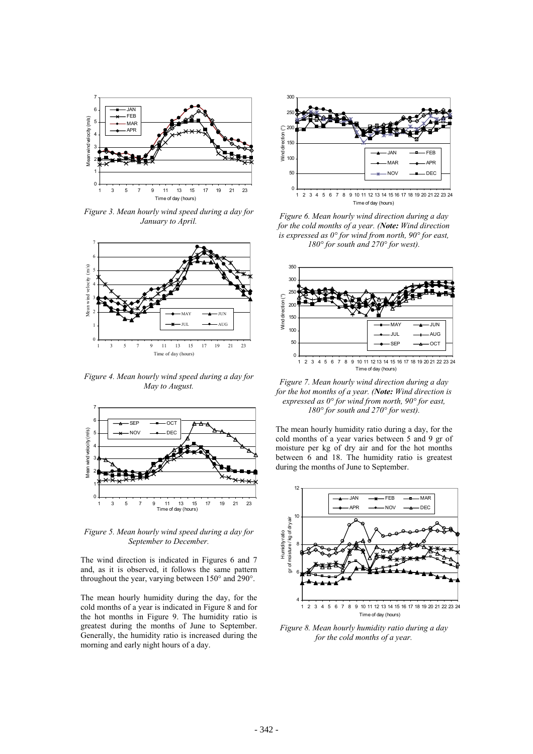

*Figure 3. Mean hourly wind speed during a day for January to April.* 



*Figure 4. Mean hourly wind speed during a day for May to August.* 



*Figure 5. Mean hourly wind speed during a day for September to December.* 

The wind direction is indicated in Figures 6 and 7 and, as it is observed, it follows the same pattern throughout the year, varying between 150° and 290°.

The mean hourly humidity during the day, for the cold months of a year is indicated in Figure 8 and for the hot months in Figure 9. The humidity ratio is greatest during the months of June to September. Generally, the humidity ratio is increased during the morning and early night hours of a day.



*Figure 6. Mean hourly wind direction during a day for the cold months of a year. (Note: Wind direction is expressed as 0° for wind from north, 90° for east, 180° for south and 270° for west).* 



*Figure 7. Mean hourly wind direction during a day for the hot months of a year. (Note: Wind direction is expressed as 0° for wind from north, 90° for east, 180° for south and 270° for west).* 

The mean hourly humidity ratio during a day, for the cold months of a year varies between 5 and 9 gr of moisture per kg of dry air and for the hot months between 6 and 18. The humidity ratio is greatest during the months of June to September.



*Figure 8. Mean hourly humidity ratio during a day for the cold months of a year.*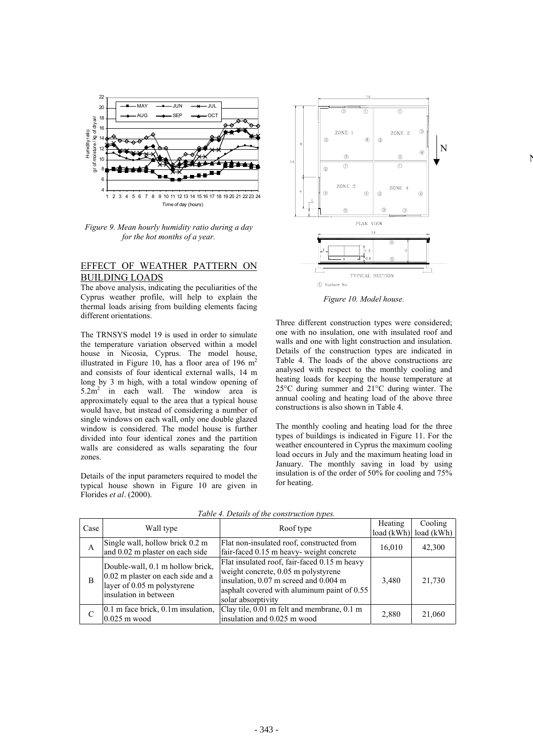

*Figure 9. Mean hourly humidity ratio during a day for the hot months of a year.* 

# EFFECT OF WEATHER PATTERN ON BUILDING LOADS

The above analysis, indicating the peculiarities of the Cyprus weather profile, will help to explain the thermal loads arising from building elements facing different orientations.

The TRNSYS model 19 is used in order to simulate the temperature variation observed within a model house in Nicosia, Cyprus. The model house, illustrated in Figure 10, has a floor area of 196  $m<sup>2</sup>$ and consists of four identical external walls, 14 m long by 3 m high, with a total window opening of  $5.2m^2$  in each wall. The window area is approximately equal to the area that a typical house would have, but instead of considering a number of single windows on each wall, only one double glazed window is considered. The model house is further divided into four identical zones and the partition walls are considered as walls separating the four zones.

Details of the input parameters required to model the typical house shown in Figure 10 are given in Florides *et al*. (2000).



N

*Figure 10. Model house.* 

Three different construction types were considered; one with no insulation, one with insulated roof and walls and one with light construction and insulation. Details of the construction types are indicated in Table 4. The loads of the above constructions are analysed with respect to the monthly cooling and heating loads for keeping the house temperature at 25°C during summer and 21°C during winter. The annual cooling and heating load of the above three constructions is also shown in Table 4.

The monthly cooling and heating load for the three types of buildings is indicated in Figure 11. For the weather encountered in Cyprus the maximum cooling load occurs in July and the maximum heating load in January. The monthly saving in load by using insulation is of the order of 50% for cooling and 75% for heating.

| Case | Wall type                                                                                                                     | Roof type                                                                                                                                                                                         | Heating | Cooling<br>$load (kWh)$ load $(kWh)$ |
|------|-------------------------------------------------------------------------------------------------------------------------------|---------------------------------------------------------------------------------------------------------------------------------------------------------------------------------------------------|---------|--------------------------------------|
| A    | Single wall, hollow brick 0.2 m<br>and 0.02 m plaster on each side                                                            | Flat non-insulated roof, constructed from<br>fair-faced 0.15 m heavy-weight concrete                                                                                                              | 16,010  | 42,300                               |
| B    | Double-wall, 0.1 m hollow brick,<br>0.02 m plaster on each side and a<br>layer of 0.05 m polystyrene<br>insulation in between | Flat insulated roof, fair-faced 0.15 m heavy<br>weight concrete, 0.05 m polystyrene<br>insulation, 0.07 m screed and 0.004 m<br>asphalt covered with aluminum paint of 0.55<br>solar absorptivity | 3,480   | 21,730                               |
| C    | 0.1 m face brick, 0.1 m insulation,<br>$0.025$ m wood                                                                         | Clay tile, 0.01 m felt and membrane, 0.1 m<br>insulation and 0.025 m wood                                                                                                                         | 2,880   | 21,060                               |

*Table 4. Details of the construction types.*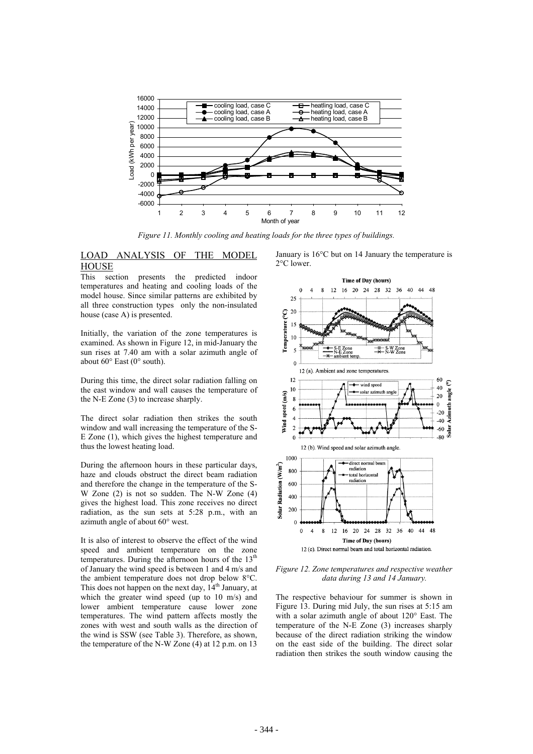

*Figure 11. Monthly cooling and heating loads for the three types of buildings.* 

# LOAD ANALYSIS OF THE MODEL **HOUSE**

This section presents the predicted indoor temperatures and heating and cooling loads of the model house. Since similar patterns are exhibited by all three construction types only the non-insulated house (case A) is presented.

Initially, the variation of the zone temperatures is examined. As shown in Figure 12, in mid-January the sun rises at 7.40 am with a solar azimuth angle of about 60° East (0° south).

During this time, the direct solar radiation falling on the east window and wall causes the temperature of the N-E Zone (3) to increase sharply.

The direct solar radiation then strikes the south window and wall increasing the temperature of the S-E Zone (1), which gives the highest temperature and thus the lowest heating load.

During the afternoon hours in these particular days, haze and clouds obstruct the direct beam radiation and therefore the change in the temperature of the S-W Zone (2) is not so sudden. The N-W Zone (4) gives the highest load. This zone receives no direct radiation, as the sun sets at 5:28 p.m., with an azimuth angle of about 60° west.

It is also of interest to observe the effect of the wind speed and ambient temperature on the zone temperatures. During the afternoon hours of the  $13<sup>th</sup>$ of January the wind speed is between 1 and 4 m/s and the ambient temperature does not drop below 8°C. This does not happen on the next day,  $14<sup>th</sup>$  January, at which the greater wind speed (up to 10 m/s) and lower ambient temperature cause lower zone temperatures. The wind pattern affects mostly the zones with west and south walls as the direction of the wind is SSW (see Table 3). Therefore, as shown, the temperature of the N-W Zone (4) at 12 p.m. on 13

January is 16°C but on 14 January the temperature is 2°C lower.



*Figure 12. Zone temperatures and respective weather data during 13 and 14 January.* 

The respective behaviour for summer is shown in Figure 13. During mid July, the sun rises at 5:15 am with a solar azimuth angle of about 120° East. The temperature of the N-E Zone (3) increases sharply because of the direct radiation striking the window on the east side of the building. The direct solar radiation then strikes the south window causing the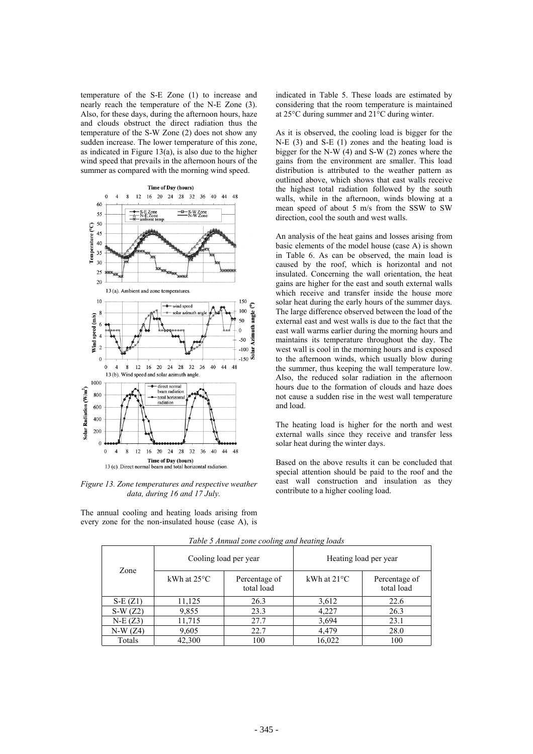temperature of the S-E Zone (1) to increase and nearly reach the temperature of the N-E Zone (3). Also, for these days, during the afternoon hours, haze and clouds obstruct the direct radiation thus the temperature of the S-W Zone (2) does not show any sudden increase. The lower temperature of this zone, as indicated in Figure  $13(a)$ , is also due to the higher wind speed that prevails in the afternoon hours of the summer as compared with the morning wind speed.



*Figure 13. Zone temperatures and respective weather data, during 16 and 17 July.* 

The annual cooling and heating loads arising from every zone for the non-insulated house (case A), is indicated in Table 5. These loads are estimated by considering that the room temperature is maintained at 25°C during summer and 21°C during winter.

As it is observed, the cooling load is bigger for the N-E (3) and S-E (1) zones and the heating load is bigger for the N-W (4) and S-W (2) zones where the gains from the environment are smaller. This load distribution is attributed to the weather pattern as outlined above, which shows that east walls receive the highest total radiation followed by the south walls, while in the afternoon, winds blowing at a mean speed of about 5 m/s from the SSW to SW direction, cool the south and west walls.

An analysis of the heat gains and losses arising from basic elements of the model house (case A) is shown in Table 6. As can be observed, the main load is caused by the roof, which is horizontal and not insulated. Concerning the wall orientation, the heat gains are higher for the east and south external walls which receive and transfer inside the house more solar heat during the early hours of the summer days. The large difference observed between the load of the external east and west walls is due to the fact that the east wall warms earlier during the morning hours and maintains its temperature throughout the day. The west wall is cool in the morning hours and is exposed to the afternoon winds, which usually blow during the summer, thus keeping the wall temperature low. Also, the reduced solar radiation in the afternoon hours due to the formation of clouds and haze does not cause a sudden rise in the west wall temperature and load.

The heating load is higher for the north and west external walls since they receive and transfer less solar heat during the winter days.

Based on the above results it can be concluded that special attention should be paid to the roof and the east wall construction and insulation as they contribute to a higher cooling load.

| Zone      |                       | Cooling load per year       | Heating load per year |                             |  |
|-----------|-----------------------|-----------------------------|-----------------------|-----------------------------|--|
|           | kWh at $25^{\circ}$ C | Percentage of<br>total load | kWh at $21^{\circ}$ C | Percentage of<br>total load |  |
| $S-E(Z1)$ | 11,125                | 26.3                        | 3,612                 | 22.6                        |  |
| $S-W(Z2)$ | 9,855                 | 23.3                        | 4,227                 | 26.3                        |  |
| $N-E(Z3)$ | 11,715                | 27.7                        | 3,694                 | 23.1                        |  |
| $N-W(Z4)$ | 9,605                 | 22.7                        | 4,479                 | 28.0                        |  |
| Totals    | 42,300                | 100                         | 16,022                | 100                         |  |

*Table 5 Annual zone cooling and heating loads*